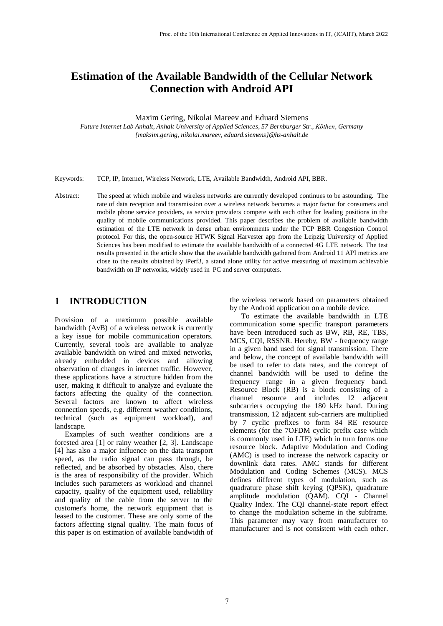# **Estimation of the Available Bandwidth of the Cellular Network Connection with Android API**

Maxim Gering, Nikolai Mareev and Eduard Siemens

*Future Internet Lab Anhalt, Anhalt University of Applied Sciences, 57 Bernburger Str., Köthen, Germany {maksim.gering, nikolai.mareev, eduard.siemens}@hs-anhalt.de*

Keywords: TCP, IP, Internet, Wireless Network, LTE, Available Bandwidth, Android API, BBR.

Abstract: The speed at which mobile and wireless networks are currently developed continues to be astounding. The rate of data reception and transmission over a wireless network becomes a major factor for consumers and mobile phone service providers, as service providers compete with each other for leading positions in the quality of mobile communications provided. This paper describes the problem of available bandwidth estimation of the LTE network in dense urban environments under the TCP BBR Congestion Control protocol. For this, the open-source HTWK Signal Harvester app from the Leipzig University of Applied Sciences has been modified to estimate the available bandwidth of a connected 4G LTE network. The test results presented in the article show that the available bandwidth gathered from Android 11 API metrics are close to the results obtained by iPerf3, a stand alone utility for active measuring of maximum achievable bandwidth on IP networks, widely used in PC and server computers.

#### **1 INTRODUCTION**

Provision of a maximum possible available bandwidth (AvB) of a wireless network is currently a key issue for mobile communication operators. Currently, several tools are available to analyze available bandwidth on wired and mixed networks, already embedded in devices and allowing observation of changes in internet traffic. However, these applications have a structure hidden from the user, making it difficult to analyze and evaluate the factors affecting the quality of the connection. Several factors are known to affect wireless connection speeds, e.g. different weather conditions, technical (such as equipment workload), and landscape.

Examples of such weather conditions are a forested area [1] or rainy weather [2, 3]. Landscape [4] has also a major influence on the data transport speed, as the radio signal can pass through, be reflected, and be absorbed by obstacles. Also, there is the area of responsibility of the provider. Which includes such parameters as workload and channel capacity, quality of the equipment used, reliability and quality of the cable from the server to the customer's home, the network equipment that is leased to the customer. These are only some of the factors affecting signal quality. The main focus of this paper is on estimation of available bandwidth of

the wireless network based on parameters obtained by the Android application on a mobile device.

To estimate the available bandwidth in LTE communication some specific transport parameters have been introduced such as BW, RB, RE, TBS, MCS, CQI, RSSNR. Hereby, BW - frequency range in a given band used for signal transmission. There and below, the concept of available bandwidth will be used to refer to data rates, and the concept of channel bandwidth will be used to define the frequency range in a given frequency band. Resource Block (RB) is a block consisting of a channel resource and includes 12 adjacent subcarriers occupying the 180 kHz band. During transmission, 12 adjacent sub-carriers are multiplied by 7 cyclic prefixes to form 84 RE resource elements (for the 7OFDM cyclic prefix case which is commonly used in LTE) which in turn forms one resource block. Adaptive Modulation and Coding (AMC) is used to increase the network capacity or downlink data rates. AMC stands for different Modulation and Coding Schemes (MCS). MCS defines different types of modulation, such as quadrature phase shift keying (QPSK), quadrature amplitude modulation (QAM). CQI - Channel Quality Index. The CQI channel-state report effect to change the modulation scheme in the subframe. This parameter may vary from manufacturer to manufacturer and is not consistent with each other.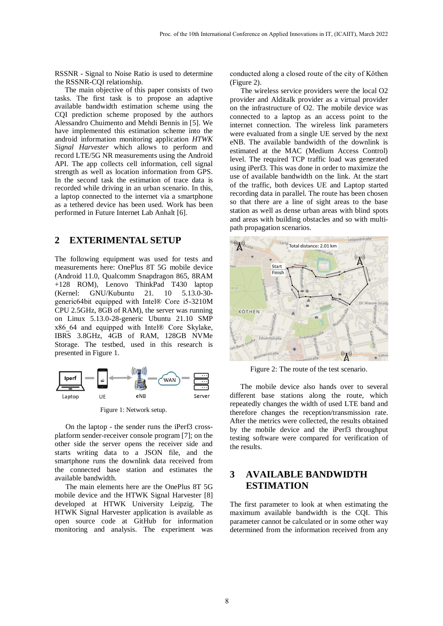RSSNR - Signal to Noise Ratio is used to determine the RSSNR-CQI relationship.

The main objective of this paper consists of two tasks. The first task is to propose an adaptive available bandwidth estimation scheme using the CQI prediction scheme proposed by the authors Alessandro Chuimento and Mehdi Bennis in [5]. We have implemented this estimation scheme into the android information monitoring application *HTWK Signal Harvester* which allows to perform and record LTE/5G NR measurements using the Android API. The app collects cell information, cell signal strength as well as location information from GPS. In the second task the estimation of trace data is recorded while driving in an urban scenario. In this, a laptop connected to the internet via a smartphone as a tethered device has been used. Work has been performed in Future Internet Lab Anhalt [6].

### **2 EXTERIMENTAL SETUP**

The following equipment was used for tests and measurements here: OnePlus 8T 5G mobile device (Android 11.0, Qualcomm Snapdragon 865, 8RAM +128 ROM), Lenovo ThinkPad T430 laptop (Kernel: GNU/Kubuntu 21. 10 5.13.0-30 generic64bit equipped with Intel® Core i5-3210M CPU 2.5GHz, 8GB of RAM), the server was running on Linux 5.13.0-28-generic Ubuntu 21.10 SMP x86\_64 and equipped with Intel® Core Skylake, IBRS 3.8GHz, 4GB of RAM, 128GB NVMe Storage. The testbed, used in this research is presented in Figure 1.



Figure 1: Network setup.

On the laptop - the sender runs the iPerf3 crossplatform sender-receiver console program [7]; on the other side the server opens the receiver side and starts writing data to a JSON file, and the smartphone runs the downlink data received from the connected base station and estimates the available bandwidth.

The main elements here are the OnePlus 8T 5G mobile device and the HTWK Signal Harvester [8] developed at HTWK University Leipzig. The HTWK Signal Harvester application is available as open source code at GitHub for information monitoring and analysis. The experiment was

conducted along a closed route of the city of Köthen (Figure 2).

The wireless service providers were the local O2 provider and Alditalk provider as a virtual provider on the infrastructure of O2. The mobile device was connected to a laptop as an access point to the internet connection. The wireless link parameters were evaluated from a single UE served by the next eNB. The available bandwidth of the downlink is estimated at the MAC (Medium Access Control) level. The required TCP traffic load was generated using iPerf3. This was done in order to maximize the use of available bandwidth on the link. At the start of the traffic, both devices UE and Laptop started recording data in parallel. The route has been chosen so that there are a line of sight areas to the base station as well as dense urban areas with blind spots and areas with building obstacles and so with multipath propagation scenarios.



Figure 2: The route of the test scenario.

The mobile device also hands over to several different base stations along the route, which repeatedly changes the width of used LTE band and therefore changes the reception/transmission rate. After the metrics were collected, the results obtained by the mobile device and the iPerf3 throughput testing software were compared for verification of the results.

## **3 AVAILABLE BANDWIDTH ESTIMATION**

The first parameter to look at when estimating the maximum available bandwidth is the CQI. This parameter cannot be calculated or in some other way determined from the information received from any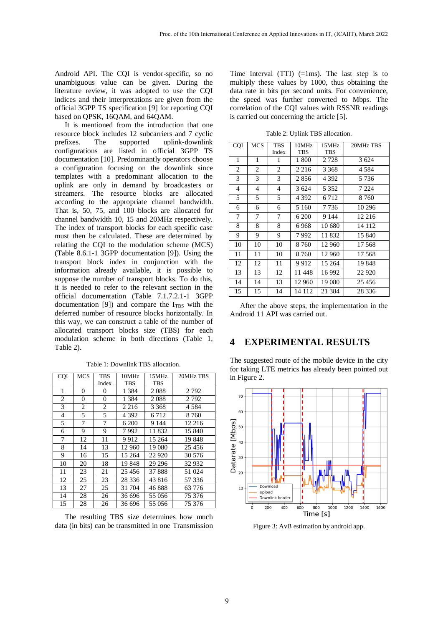Android API. The CQI is vendor-specific, so no unambiguous value can be given. During the literature review, it was adopted to use the CQI indices and their interpretations are given from the official 3GPP TS specification [9] for reporting CQI based on QPSK, 16QAM, and 64QAM.

It is mentioned from the introduction that one resource block includes 12 subcarriers and 7 cyclic prefixes. The supported uplink-downlink configurations are listed in official 3GPP TS documentation [10]. Predominantly operators choose a configuration focusing on the downlink since templates with a predominant allocation to the uplink are only in demand by broadcasters or streamers. The resource blocks are allocated according to the appropriate channel bandwidth. That is, 50, 75, and 100 blocks are allocated for channel bandwidth 10, 15 and 20MHz respectively. The index of transport blocks for each specific case must then be calculated. These are determined by relating the CQI to the modulation scheme (MCS) (Table 8.6.1-1 3GPP documentation [9]). Using the transport block index in conjunction with the information already available, it is possible to suppose the number of transport blocks. To do this, it is needed to refer to the relevant section in the official documentation (Table 7.1.7.2.1-1 3GPP documentation [9]) and compare the  $I<sub>TBS</sub>$  with the deferred number of resource blocks horizontally. In this way, we can construct a table of the number of allocated transport blocks size (TBS) for each modulation scheme in both directions (Table 1, Table 2).

Table 1: Downlink TBS allocation.

| CQI | MCS | TBS   | 10MHz      | 15MHz      | 20MHz TBS |
|-----|-----|-------|------------|------------|-----------|
|     |     | Index | <b>TBS</b> | <b>TBS</b> |           |
| 1   | 0   | 0     | 1 3 8 4    | 2088       | 2792      |
| 2   | 0   | 0     | 1 3 8 4    | 2088       | 2792      |
| 3   | 2   | 2     | 2 2 1 6    | 3 3 6 8    | 4584      |
| 4   | 5   | 5     | 4 3 9 2    | 6 7 1 2    | 8760      |
| 5   | 7   | 7     | 6 200      | 9 1 4 4    | 12 216    |
| 6   | 9   | 9     | 7992       | 11 832     | 15 840    |
| 7   | 12  | 11    | 9912       | 15 264     | 19848     |
| 8   | 14  | 13    | 12 960     | 19 080     | 25456     |
| 9   | 16  | 15    | 15 264     | 22 9 20    | 30 576    |
| 10  | 20  | 18    | 19848      | 29 29 6    | 32 932    |
| 11  | 23  | 21    | 25 4 5 6   | 37888      | 51 024    |
| 12  | 25  | 23    | 28 3 36    | 43 816     | 57 336    |
| 13  | 27  | 25    | 31 704     | 46888      | 63 776    |
| 14  | 28  | 26    | 36 696     | 55 056     | 75 376    |
| 15  | 28  | 26    | 36 696     | 55 056     | 75 376    |

The resulting TBS size determines how much data (in bits) can be transmitted in one Transmission Time Interval (TTI)  $(=\text{1ms})$ . The last step is to multiply these values by 1000, thus obtaining the data rate in bits per second units. For convenience, the speed was further converted to Mbps. The correlation of the CQI values with RSSNR readings is carried out concerning the article [5].

Table 2: Uplink TBS allocation.

| CQI            | <b>MCS</b>     | <b>TBS</b> | 10MHz      | 15MHz      | 20MHz TBS |
|----------------|----------------|------------|------------|------------|-----------|
|                |                | Index      | <b>TBS</b> | <b>TBS</b> |           |
| 1              | 1              | 1          | 1800       | 2 728      | 3 6 24    |
| 2              | 2              | 2          | 2 2 1 6    | 3 3 6 8    | 4 584     |
| 3              | 3              | 3          | 2856       | 4 3 9 2    | 5 736     |
| $\overline{4}$ | $\overline{4}$ | 4          | 3 6 24     | 5 3 5 2    | 7 2 2 4   |
| 5              | 5              | 5          | 4 392      | 6712       | 8760      |
| 6              | 6              | 6          | 5 1 6 0    | 7736       | 10 29 6   |
| 7              | 7              | 7          | 6 200      | 9 1 4 4    | 12 216    |
| 8              | 8              | 8          | 6968       | 10 680     | 14 112    |
| 9              | 9              | 9          | 7992       | 11832      | 15 840    |
| 10             | 10             | 10         | 8 7 6 0    | 12 960     | 17 568    |
| 11             | 11             | 10         | 8760       | 12 960     | 17 568    |
| 12             | 12             | 11         | 9912       | 15 264     | 19848     |
| 13             | 13             | 12         | 11448      | 16 992     | 22 9 20   |
| 14             | 14             | 13         | 12 960     | 19 080     | 25 4 5 6  |
| 15             | 15             | 14         | 14 112     | 21 3 8 4   | 28 3 36   |

After the above steps, the implementation in the Android 11 API was carried out.

### **4 EXPERIMENTAL RESULTS**

The suggested route of the mobile device in the city for taking LTE metrics has already been pointed out in Figure 2.



Figure 3: AvB estimation by android app.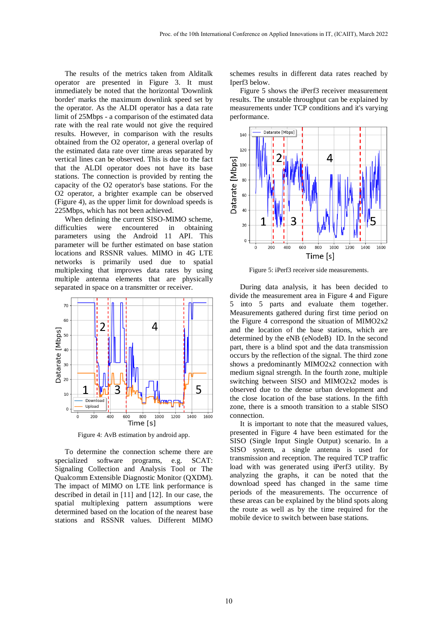The results of the metrics taken from Alditalk operator are presented in Figure 3. It must immediately be noted that the horizontal 'Downlink border' marks the maximum downlink speed set by the operator. As the ALDI operator has a data rate limit of 25Mbps - a comparison of the estimated data rate with the real rate would not give the required results. However, in comparison with the results obtained from the O2 operator, a general overlap of the estimated data rate over time areas separated by vertical lines can be observed. This is due to the fact that the ALDI operator does not have its base stations. The connection is provided by renting the capacity of the O2 operator's base stations. For the O2 operator, a brighter example can be observed (Figure 4), as the upper limit for download speeds is 225Mbps, which has not been achieved.

When defining the current SISO-MIMO scheme, difficulties were encountered in obtaining parameters using the Android 11 API. This parameter will be further estimated on base station locations and RSSNR values. MIMO in 4G LTE networks is primarily used due to spatial multiplexing that improves data rates by using multiple antenna elements that are physically separated in space on a transmitter or receiver.



Figure 4: AvB estimation by android app.

To determine the connection scheme there are specialized software programs, e.g. SCAT: Signaling Collection and Analysis Tool or The Qualcomm Extensible Diagnostic Monitor (QXDM). The impact of MIMO on LTE link performance is described in detail in [11] and [12]. In our case, the spatial multiplexing pattern assumptions were determined based on the location of the nearest base stations and RSSNR values. Different MIMO

schemes results in different data rates reached by Iperf3 below.

Figure 5 shows the iPerf3 receiver measurement results. The unstable throughput can be explained by measurements under TCP conditions and it's varying performance.



Figure 5: iPerf3 receiver side measurements.

During data analysis, it has been decided to divide the measurement area in Figure 4 and Figure 5 into 5 parts and evaluate them together. Measurements gathered during first time period on the Figure 4 correspond the situation of MIMO2x2 and the location of the base stations, which are determined by the eNB (eNodeB) ID. In the second part, there is a blind spot and the data transmission occurs by the reflection of the signal. The third zone shows a predominantly MIMO2x2 connection with medium signal strength. In the fourth zone, multiple switching between SISO and MIMO2x2 modes is observed due to the dense urban development and the close location of the base stations. In the fifth zone, there is a smooth transition to a stable SISO connection.

It is important to note that the measured values, presented in Figure 4 have been estimated for the SISO (Single Input Single Output) scenario. In a SISO system, a single antenna is used for transmission and reception. The required TCP traffic load with was generated using iPerf3 utility. By analyzing the graphs, it can be noted that the download speed has changed in the same time periods of the measurements. The occurrence of these areas can be explained by the blind spots along the route as well as by the time required for the mobile device to switch between base stations.